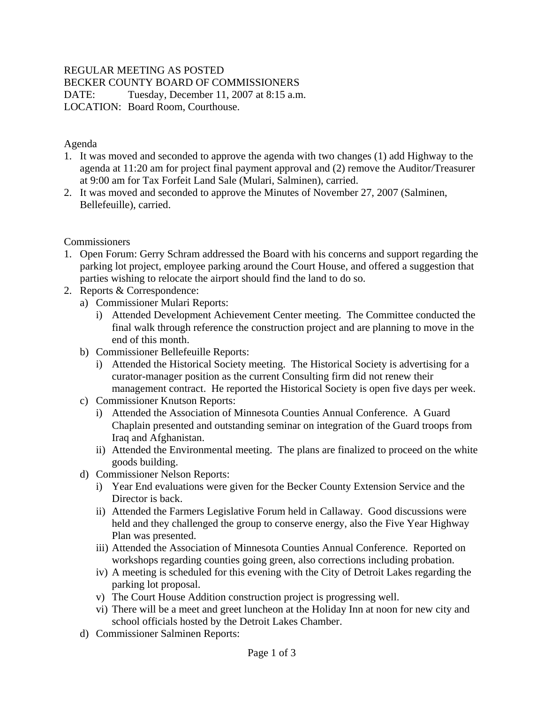## REGULAR MEETING AS POSTED

BECKER COUNTY BOARD OF COMMISSIONERS

DATE: Tuesday, December 11, 2007 at 8:15 a.m.

LOCATION: Board Room, Courthouse.

## Agenda

- 1. It was moved and seconded to approve the agenda with two changes (1) add Highway to the agenda at 11:20 am for project final payment approval and (2) remove the Auditor/Treasurer at 9:00 am for Tax Forfeit Land Sale (Mulari, Salminen), carried.
- 2. It was moved and seconded to approve the Minutes of November 27, 2007 (Salminen, Bellefeuille), carried.

## **Commissioners**

- 1. Open Forum: Gerry Schram addressed the Board with his concerns and support regarding the parking lot project, employee parking around the Court House, and offered a suggestion that parties wishing to relocate the airport should find the land to do so.
- 2. Reports & Correspondence:
	- a) Commissioner Mulari Reports:
		- i) Attended Development Achievement Center meeting. The Committee conducted the final walk through reference the construction project and are planning to move in the end of this month.
	- b) Commissioner Bellefeuille Reports:
		- i) Attended the Historical Society meeting. The Historical Society is advertising for a curator-manager position as the current Consulting firm did not renew their management contract. He reported the Historical Society is open five days per week.
	- c) Commissioner Knutson Reports:
		- i) Attended the Association of Minnesota Counties Annual Conference. A Guard Chaplain presented and outstanding seminar on integration of the Guard troops from Iraq and Afghanistan.
		- ii) Attended the Environmental meeting. The plans are finalized to proceed on the white goods building.
	- d) Commissioner Nelson Reports:
		- i) Year End evaluations were given for the Becker County Extension Service and the Director is back.
		- ii) Attended the Farmers Legislative Forum held in Callaway. Good discussions were held and they challenged the group to conserve energy, also the Five Year Highway Plan was presented.
		- iii) Attended the Association of Minnesota Counties Annual Conference. Reported on workshops regarding counties going green, also corrections including probation.
		- iv) A meeting is scheduled for this evening with the City of Detroit Lakes regarding the parking lot proposal.
		- v) The Court House Addition construction project is progressing well.
		- vi) There will be a meet and greet luncheon at the Holiday Inn at noon for new city and school officials hosted by the Detroit Lakes Chamber.
	- d) Commissioner Salminen Reports: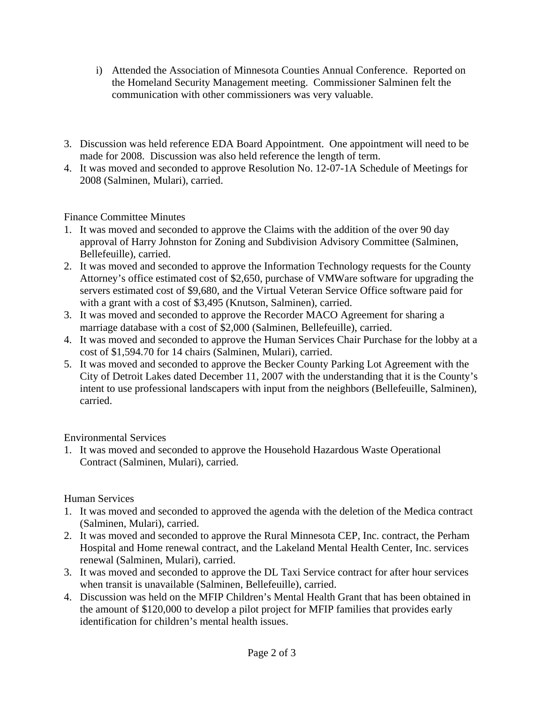- i) Attended the Association of Minnesota Counties Annual Conference. Reported on the Homeland Security Management meeting. Commissioner Salminen felt the communication with other commissioners was very valuable.
- 3. Discussion was held reference EDA Board Appointment. One appointment will need to be made for 2008. Discussion was also held reference the length of term.
- 4. It was moved and seconded to approve Resolution No. 12-07-1A Schedule of Meetings for 2008 (Salminen, Mulari), carried.

Finance Committee Minutes

- 1. It was moved and seconded to approve the Claims with the addition of the over 90 day approval of Harry Johnston for Zoning and Subdivision Advisory Committee (Salminen, Bellefeuille), carried.
- 2. It was moved and seconded to approve the Information Technology requests for the County Attorney's office estimated cost of \$2,650, purchase of VMWare software for upgrading the servers estimated cost of \$9,680, and the Virtual Veteran Service Office software paid for with a grant with a cost of \$3,495 (Knutson, Salminen), carried.
- 3. It was moved and seconded to approve the Recorder MACO Agreement for sharing a marriage database with a cost of \$2,000 (Salminen, Bellefeuille), carried.
- 4. It was moved and seconded to approve the Human Services Chair Purchase for the lobby at a cost of \$1,594.70 for 14 chairs (Salminen, Mulari), carried.
- 5. It was moved and seconded to approve the Becker County Parking Lot Agreement with the City of Detroit Lakes dated December 11, 2007 with the understanding that it is the County's intent to use professional landscapers with input from the neighbors (Bellefeuille, Salminen), carried.

Environmental Services

1. It was moved and seconded to approve the Household Hazardous Waste Operational Contract (Salminen, Mulari), carried.

Human Services

- 1. It was moved and seconded to approved the agenda with the deletion of the Medica contract (Salminen, Mulari), carried.
- 2. It was moved and seconded to approve the Rural Minnesota CEP, Inc. contract, the Perham Hospital and Home renewal contract, and the Lakeland Mental Health Center, Inc. services renewal (Salminen, Mulari), carried.
- 3. It was moved and seconded to approve the DL Taxi Service contract for after hour services when transit is unavailable (Salminen, Bellefeuille), carried.
- 4. Discussion was held on the MFIP Children's Mental Health Grant that has been obtained in the amount of \$120,000 to develop a pilot project for MFIP families that provides early identification for children's mental health issues.